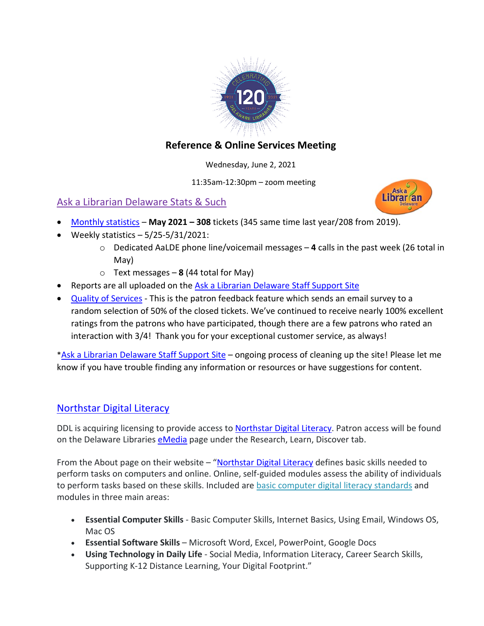

# **Reference & Online Services Meeting**

Wednesday, June 2, 2021

11:35am-12:30pm – zoom meeting

# Ask a Librarian Delaware Stats & Such



- [Monthly statistics](https://aalstaff.lib.de.us/home/reports/fy21-monthly-reports/) **May 2021 – 308** tickets (345 same time last year/208 from 2019).
- Weekly statistics  $-5/25-5/31/2021$ :
	- o Dedicated AaLDE phone line/voicemail messages **4** calls in the past week (26 total in May)
	- o Text messages **8** (44 total for May)
- Reports are all uploaded on the [Ask a Librarian Delaware Staff Support Site](https://aalstaff.lib.de.us/)
- [Quality of Services](https://ask.springshare.com/libanswers/faq/2830) This is the patron feedback feature which sends an email survey to a random selection of 50% of the closed tickets. We've continued to receive nearly 100% excellent ratings from the patrons who have participated, though there are a few patrons who rated an interaction with 3/4! Thank you for your exceptional customer service, as always!

[\\*Ask a Librarian Delaware Staff Support Site](https://aalstaff.lib.de.us/) – ongoing process of cleaning up the site! Please let me know if you have trouble finding any information or resources or have suggestions for content.

### [Northstar Digital Literacy](https://www.digitalliteracyassessment.org/about#about)

DDL is acquiring licensing to provide access to Northstar [Digital Literacy.](https://www.digitalliteracyassessment.org/about#about) Patron access will be found on the Delaware Libraries [eMedia](https://lib.de.us/emedia/) page under the Research, Learn, Discover tab.

From the About page on their website – ["Northstar Digital Literacy](https://www.digitalliteracyassessment.org/about#about) defines basic skills needed to perform tasks on computers and online. Online, self-guided modules assess the ability of individuals to perform tasks based on these skills. Included are [basic computer digital literacy standards](https://www.digitalliteracyassessment.org/assessment-info#standards) and modules in three main areas:

- **Essential Computer Skills** Basic Computer Skills, Internet Basics, Using Email, Windows OS, Mac OS
- **Essential Software Skills** Microsoft Word, Excel, PowerPoint, Google Docs
- **Using Technology in Daily Life** Social Media, Information Literacy, Career Search Skills, Supporting K-12 Distance Learning, Your Digital Footprint."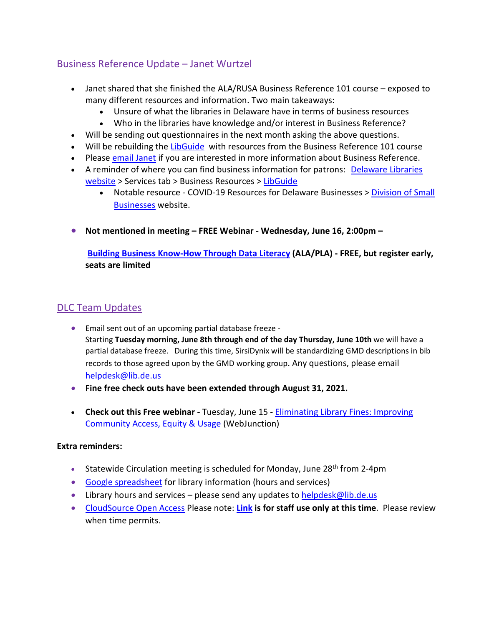## Business Reference Update – Janet Wurtzel

- Janet shared that she finished the ALA/RUSA Business Reference 101 course exposed to many different resources and information. Two main takeaways:
	- Unsure of what the libraries in Delaware have in terms of business resources
	- Who in the libraries have knowledge and/or interest in Business Reference?
- Will be sending out questionnaires in the next month asking the above questions.
- Will be rebuilding the [LibGuide](https://guides.lib.de.us/business) with resources from the Business Reference 101 course
- Please [email Janet](mailto:janet.wurtzel@lib.de.us) if you are interested in more information about Business Reference.
- A reminder of where you can find business information for patrons: Delaware Libraries [website](https://lib.de.us/) > Services tab > Business Resources > [LibGuide](https://guides.lib.de.us/business)
	- Notable resource COVID-19 Resources for Delaware Businesses > [Division of](https://business.delaware.gov/coronavirus/) Small [Businesses](https://business.delaware.gov/coronavirus/) website.
- **Not mentioned in meeting – FREE Webinar - Wednesday, June 16, 2:00pm –**

**[Building Business Know-How Through Data Literacy](https://ala-events.zoom.us/webinar/register/2216215226141/WN_poV99nhaT4mVqNpH-YtV1A) (ALA/PLA) - FREE, but register early, seats are limited**

# DLC Team Updates

- Email sent out of an upcoming partial database freeze Starting **Tuesday morning, June 8th through end of the day Thursday, June 10th** we will have a partial database freeze. During this time, SirsiDynix will be standardizing GMD descriptions in bib records to those agreed upon by the GMD working group. Any questions, please email [helpdesk@lib.de.us](mailto:helpdesk@lib.de.us)
- **Fine free check outs have been extended through August 31, 2021.**
- **Check out this Free webinar -** Tuesday, June 15 [Eliminating Library Fines: Improving](https://oclcwebinar.webex.com/mw3300/mywebex/default.do?nomenu=true&siteurl=oclcwebinar&service=6&rnd=0.48352763949709066&main_url=https%3A%2F%2Foclcwebinar.webex.com%2Fec3300%2Feventcenter%2Fevent%2FeventAction.do%3FtheAction%3Ddetail%26%26%26EMK%3D4832534b00000004b45097bda93d323c73b8dc9cace40ed866216632eaabb1fd7be058aed52657a5%26siteurl%3Doclcwebinar%26confViewID%3D194663025103350896%26encryptTicket%3DSDJTSwAAAAQW-Sa4JaaNiBF-BnoLhuC9iLJTG0K6U-2CJjgGooVl4A2%26)  [Community Access, Equity & Usage](https://oclcwebinar.webex.com/mw3300/mywebex/default.do?nomenu=true&siteurl=oclcwebinar&service=6&rnd=0.48352763949709066&main_url=https%3A%2F%2Foclcwebinar.webex.com%2Fec3300%2Feventcenter%2Fevent%2FeventAction.do%3FtheAction%3Ddetail%26%26%26EMK%3D4832534b00000004b45097bda93d323c73b8dc9cace40ed866216632eaabb1fd7be058aed52657a5%26siteurl%3Doclcwebinar%26confViewID%3D194663025103350896%26encryptTicket%3DSDJTSwAAAAQW-Sa4JaaNiBF-BnoLhuC9iLJTG0K6U-2CJjgGooVl4A2%26) (WebJunction)

#### **Extra reminders:**

- Statewide Circulation meeting is scheduled for Monday, June  $28<sup>th</sup>$  from 2-4pm
- [Google spreadsheet](https://docs.google.com/spreadsheets/d/1LU1wJdCTHeCELlt4vygc-mjwQQNm1__Su4hihXtu8v8/edit#gid=461441173) for library information (hours and services)
- Library hours and services  $-$  please send any updates to [helpdesk@lib.de.us](mailto:helpdesk@lib.de.us)
- [CloudSource Open Access](https://dlc.lib.de.us/client/en_US/CSOA/) Please note: **[Link](https://dlc.lib.de.us/client/en_US/CSOA/) is for staff use only at this time**. Please review when time permits.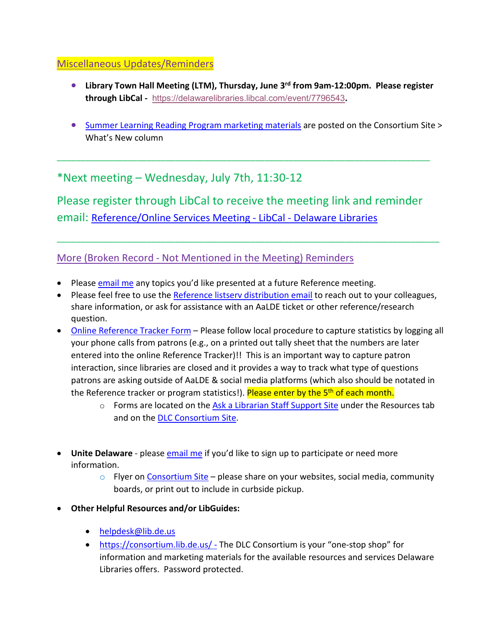#### Miscellaneous Updates/Reminders

- **Library Town Hall Meeting (LTM), Thursday, June 3rd from 9am-12:00pm. Please register through LibCal -** <https://delawarelibraries.libcal.com/event/7796543>**.**
- [Summer Learning Reading Program marketing materials](https://consortium.lib.de.us/public-services/slrp-materials/) are posted on the Consortium Site > What's New column

\*Next meeting – Wednesday, July 7th, 11:30-12

Please register through LibCal to receive the meeting link and reminder email: [Reference/Online Services Meeting -](https://delawarelibraries.libcal.com/event/7594123) LibCal - Delaware Libraries

\_\_\_\_\_\_\_\_\_\_\_\_\_\_\_\_\_\_\_\_\_\_\_\_\_\_\_\_\_\_\_\_\_\_\_\_\_\_\_\_\_\_\_\_\_\_\_\_\_\_\_\_\_\_\_\_\_\_\_\_\_\_\_\_\_\_\_\_\_\_\_\_\_\_\_\_\_\_\_\_\_

\_\_\_\_\_\_\_\_\_\_\_\_\_\_\_\_\_\_\_\_\_\_\_\_\_\_\_\_\_\_\_\_\_\_\_\_\_\_\_\_\_\_\_\_\_\_\_\_\_\_\_\_\_\_\_\_\_\_\_\_\_\_\_\_\_\_\_\_\_\_\_\_\_\_\_\_\_\_\_

### More (Broken Record - Not Mentioned in the Meeting) Reminders

- Please [email me](mailto:missy.williams@lib.de.us) any topics you'd like presented at a future Reference meeting.
- Please feel free to use the [Reference listserv distribution email](mailto:reference@listserv.lib.de.us) to reach out to your colleagues, share information, or ask for assistance with an AaLDE ticket or other reference/research question.
- [Online Reference Tracker Form](https://de.countingopinions.com/s/feedback/index.php?survey_id=598&loc_id=en_CA) Please follow local procedure to capture statistics by logging all your phone calls from patrons (e.g., on a printed out tally sheet that the numbers are later entered into the online Reference Tracker)!! This is an important way to capture patron interaction, since libraries are closed and it provides a way to track what type of questions patrons are asking outside of AaLDE & social media platforms (which also should be notated in the Reference tracker or program statistics!). Please enter by the 5<sup>th</sup> of each month.
	- $\circ$  Forms are located on the [Ask a Librarian Staff Support Site](https://aalstaff.lib.de.us/resources/) under the Resources tab and on the [DLC Consortium Site.](https://consortium.lib.de.us/)
- Unite Delaware please **email me** if you'd like to sign up to participate or need more information.
	- $\circ$  Flyer on [Consortium Site](https://consortium.lib.de.us/marketing/) please share on your websites, social media, community boards, or print out to include in curbside pickup.
- **Other Helpful Resources and/or LibGuides:**
	- [helpdesk@lib.de.us](mailto:helpdesk@lib.de.us)
	- <https://consortium.lib.de.us/> The DLC Consortium is your "one-stop shop" for information and marketing materials for the available resources and services Delaware Libraries offers. Password protected.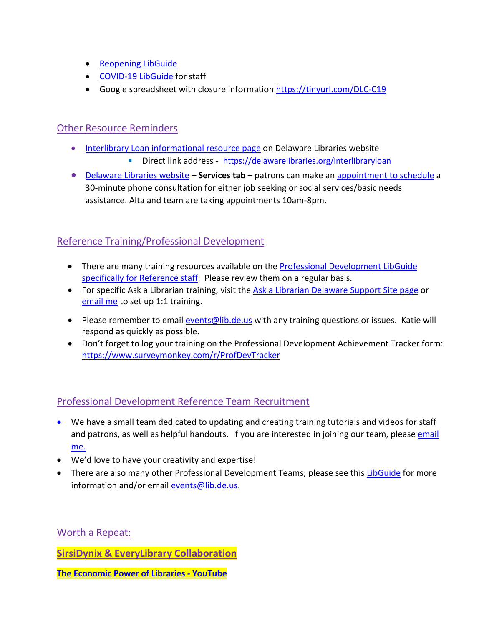- [Reopening LibGuide](https://guides.lib.de.us/delibraries/COVID-19/reopening)
- [COVID-19 LibGuide](https://guides.lib.de.us/delibraries/COVID-19) for staff
- Google spreadsheet with closure information<https://tinyurl.com/DLC-C19>

#### Other Resource Reminders

- [Interlibrary Loan informational resource page](https://lib.de.us/interlibraryloan/) on Delaware Libraries website
	- Direct link address <https://delawarelibraries.org/interlibraryloan>
- [Delaware Libraries website](https://lib.de.us/) **Services tab** patrons can make an [appointment to schedule](https://delawarelibraries.libcal.com/appointments/) a 30-minute phone consultation for either job seeking or social services/basic needs assistance. Alta and team are taking appointments 10am-8pm.

### Reference Training/Professional Development

- There are many training resources available on the Professional Development LibGuide [specifically for Reference staff.](https://guides.lib.de.us/c.php?g=386101&p=2619930) Please review them on a regular basis.
- For specific Ask a Librarian training, visit the [Ask a Librarian Delaware Support Site page](https://aalstaff.lib.de.us/all-meetings-trainings/training-tutorials/) or [email me](mailto:missy.williams@lib.de.us) to set up 1:1 training.
- Please remember to email [events@lib.de.us](mailto:events@lib.de.us) with any training questions or issues. Katie will respond as quickly as possible.
- Don't forget to log your training on the Professional Development Achievement Tracker form: <https://www.surveymonkey.com/r/ProfDevTracker>

### Professional Development Reference Team Recruitment

- We have a small team dedicated to updating and creating training tutorials and videos for staff and patrons, as well as helpful handouts. If you are interested in joining our team, please email [me.](mailto:missy.williams@lib.de.us)
- We'd love to have your creativity and expertise!
- There are also many other Professional Development Teams; please see this [LibGuide](https://guides.lib.de.us/profdevteam) for more information and/or email [events@lib.de.us.](mailto:events@lib.de.us)

Worth a Repeat:

**SirsiDynix & EveryLibrary Collaboration**

**[The Economic Power of Libraries -](https://www.youtube.com/watch?v=fkFJ0NGpq8A) YouTube**